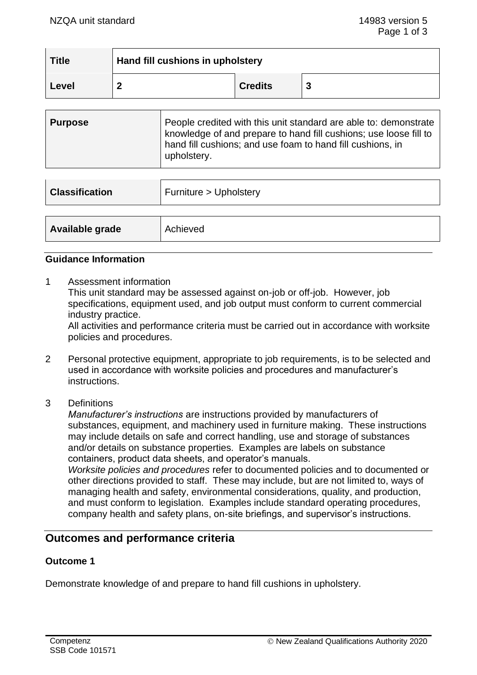| $\mid$ Title | Hand fill cushions in upholstery |                |  |
|--------------|----------------------------------|----------------|--|
| Level        |                                  | <b>Credits</b> |  |

| <b>Classification</b> | Furniture > Upholstery |
|-----------------------|------------------------|
|                       |                        |
| Available grade       | Achieved               |

## **Guidance Information**

1 Assessment information

This unit standard may be assessed against on-job or off-job. However, job specifications, equipment used, and job output must conform to current commercial industry practice.

All activities and performance criteria must be carried out in accordance with worksite policies and procedures.

- 2 Personal protective equipment, appropriate to job requirements, is to be selected and used in accordance with worksite policies and procedures and manufacturer's instructions.
- 3 Definitions

*Manufacturer's instructions* are instructions provided by manufacturers of substances, equipment, and machinery used in furniture making. These instructions may include details on safe and correct handling, use and storage of substances and/or details on substance properties. Examples are labels on substance containers, product data sheets, and operator's manuals.

*Worksite policies and procedures* refer to documented policies and to documented or other directions provided to staff. These may include, but are not limited to, ways of managing health and safety, environmental considerations, quality, and production, and must conform to legislation. Examples include standard operating procedures, company health and safety plans, on-site briefings, and supervisor's instructions.

# **Outcomes and performance criteria**

## **Outcome 1**

Demonstrate knowledge of and prepare to hand fill cushions in upholstery.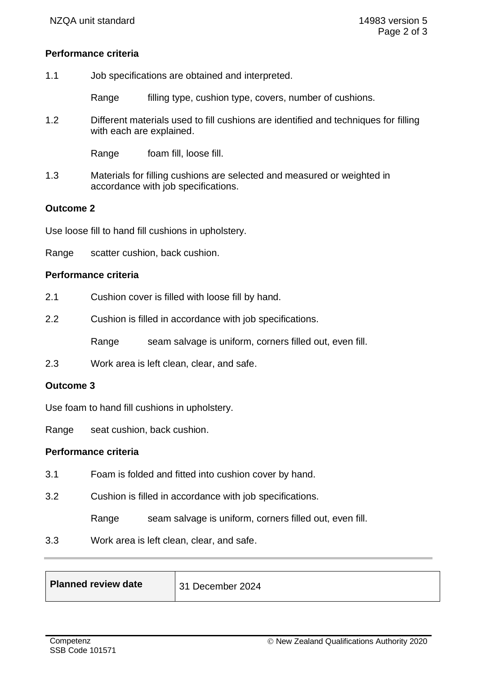## **Performance criteria**

| 1.1 | Job specifications are obtained and interpreted. |
|-----|--------------------------------------------------|
|-----|--------------------------------------------------|

Range filling type, cushion type, covers, number of cushions.

1.2 Different materials used to fill cushions are identified and techniques for filling with each are explained.

Range foam fill, loose fill.

1.3 Materials for filling cushions are selected and measured or weighted in accordance with job specifications.

## **Outcome 2**

Use loose fill to hand fill cushions in upholstery.

Range scatter cushion, back cushion.

#### **Performance criteria**

- 2.1 Cushion cover is filled with loose fill by hand.
- 2.2 Cushion is filled in accordance with job specifications.

Range seam salvage is uniform, corners filled out, even fill.

2.3 Work area is left clean, clear, and safe.

## **Outcome 3**

Use foam to hand fill cushions in upholstery.

Range seat cushion, back cushion.

#### **Performance criteria**

- 3.1 Foam is folded and fitted into cushion cover by hand.
- 3.2 Cushion is filled in accordance with job specifications.

Range seam salvage is uniform, corners filled out, even fill.

3.3 Work area is left clean, clear, and safe.

| Planned review date | 31 December 2024 |
|---------------------|------------------|
|                     |                  |